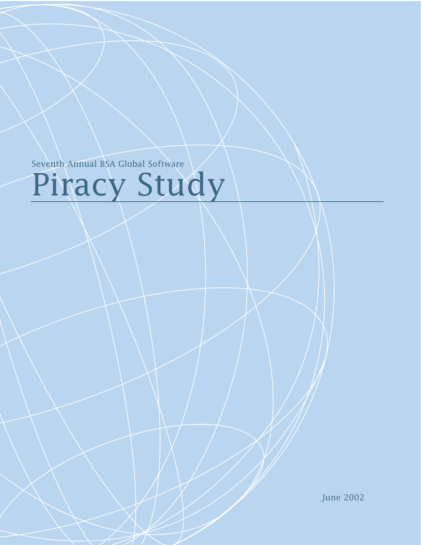Seventh Annual BSA Global Software

# Piracy Study

June 2002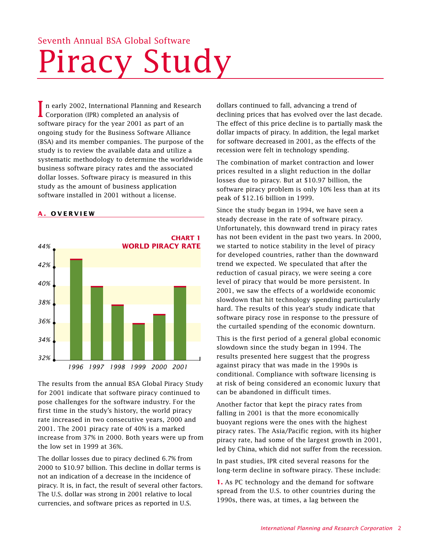## Seventh Annual BSA Global Software Piracy Study

In early 2002, International Planning and Represention (IPR) completed an analysis of n early 2002, International Planning and Research software piracy for the year 2001 as part of an ongoing study for the Business Software Alliance (BSA) and its member companies. The purpose of the study is to review the available data and utilize a systematic methodology to determine the worldwide business software piracy rates and the associated dollar losses. Software piracy is measured in this study as the amount of business application software installed in 2001 without a license.

#### **A . OVERVIEW**



The results from the annual BSA Global Piracy Study for 2001 indicate that software piracy continued to pose challenges for the software industry. For the first time in the study's history, the world piracy rate increased in two consecutive years, 2000 and 2001. The 2001 piracy rate of 40% is a marked increase from 37% in 2000. Both years were up from the low set in 1999 at 36%.

The dollar losses due to piracy declined 6.7% from 2000 to \$10.97 billion. This decline in dollar terms is not an indication of a decrease in the incidence of piracy. It is, in fact, the result of several other factors. The U.S. dollar was strong in 2001 relative to local currencies, and software prices as reported in U.S.

dollars continued to fall, advancing a trend of declining prices that has evolved over the last decade. The effect of this price decline is to partially mask the dollar impacts of piracy. In addition, the legal market for software decreased in 2001, as the effects of the recession were felt in technology spending.

The combination of market contraction and lower prices resulted in a slight reduction in the dollar losses due to piracy. But at \$10.97 billion, the software piracy problem is only 10% less than at its peak of \$12.16 billion in 1999.

Since the study began in 1994, we have seen a steady decrease in the rate of software piracy. Unfortunately, this downward trend in piracy rates has not been evident in the past two years. In 2000, we started to notice stability in the level of piracy for developed countries, rather than the downward trend we expected. We speculated that after the reduction of casual piracy, we were seeing a core level of piracy that would be more persistent. In 2001, we saw the effects of a worldwide economic slowdown that hit technology spending particularly hard. The results of this year's study indicate that software piracy rose in response to the pressure of the curtailed spending of the economic downturn.

This is the first period of a general global economic slowdown since the study began in 1994. The results presented here suggest that the progress against piracy that was made in the 1990s is conditional. Compliance with software licensing is at risk of being considered an economic luxury that can be abandoned in difficult times.

Another factor that kept the piracy rates from falling in 2001 is that the more economically buoyant regions were the ones with the highest piracy rates. The Asia/Pacific region, with its higher piracy rate, had some of the largest growth in 2001, led by China, which did not suffer from the recession.

In past studies, IPR cited several reasons for the long-term decline in software piracy. These include:

**1.** As PC technology and the demand for software spread from the U.S. to other countries during the 1990s, there was, at times, a lag between the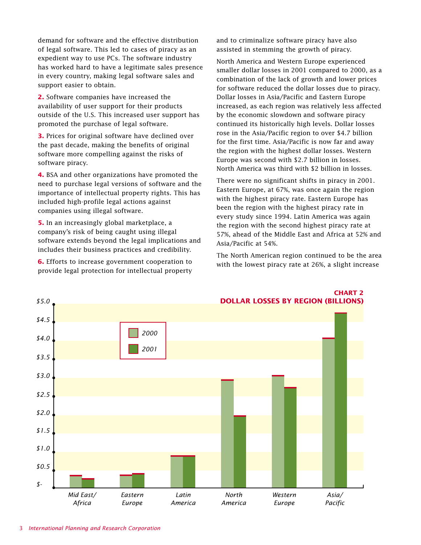demand for software and the effective distribution of legal software. This led to cases of piracy as an expedient way to use PCs. The software industry has worked hard to have a legitimate sales presence in every country, making legal software sales and support easier to obtain.

**2.** Software companies have increased the availability of user support for their products outside of the U.S. This increased user support has promoted the purchase of legal software.

**3.** Prices for original software have declined over the past decade, making the benefits of original software more compelling against the risks of software piracy.

**4.** BSA and other organizations have promoted the need to purchase legal versions of software and the importance of intellectual property rights. This has included high-profile legal actions against companies using illegal software.

**5.** In an increasingly global marketplace, a company's risk of being caught using illegal software extends beyond the legal implications and includes their business practices and credibility.

**6.** Efforts to increase government cooperation to provide legal protection for intellectual property and to criminalize software piracy have also assisted in stemming the growth of piracy.

North America and Western Europe experienced smaller dollar losses in 2001 compared to 2000, as a combination of the lack of growth and lower prices for software reduced the dollar losses due to piracy. Dollar losses in Asia/Pacific and Eastern Europe increased, as each region was relatively less affected by the economic slowdown and software piracy continued its historically high levels. Dollar losses rose in the Asia/Pacific region to over \$4.7 billion for the first time. Asia/Pacific is now far and away the region with the highest dollar losses. Western Europe was second with \$2.7 billion in losses. North America was third with \$2 billion in losses.

There were no significant shifts in piracy in 2001. Eastern Europe, at 67%, was once again the region with the highest piracy rate. Eastern Europe has been the region with the highest piracy rate in every study since 1994. Latin America was again the region with the second highest piracy rate at 57%, ahead of the Middle East and Africa at 52% and Asia/Pacific at 54%.

The North American region continued to be the area with the lowest piracy rate at 26%, a slight increase



**CHART 2**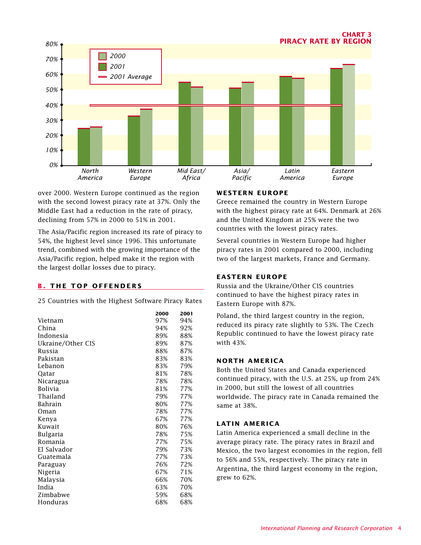

over 2000. Western Europe continued as the region with the second lowest piracy rate at 37%. Only the Middle East had a reduction in the rate of piracy, declining from 57% in 2000 to 51% in 2001.

The Asia/Pacific region increased its rate of piracy to 54%, the highest level since 1996. This unfortunate trend, combined with the growing importance of the Asia/Pacific region, helped make it the region with the largest dollar losses due to piracy.

#### **B . THE TOP OFFENDERS**

25 Countries with the Highest Software Piracy Rates

|                   | 2000 | 2001 |
|-------------------|------|------|
| Vietnam           | 97%  | 94%  |
| China             | 94%  | 92%  |
| Indonesia         | 89%  | 88%  |
| Ukraine/Other CIS | 89%  | 87%  |
| Russia            | 88%  | 87%  |
| Pakistan          | 83%  | 83%  |
| Lebanon           | 83%  | 79%  |
| Qatar             | 81%  | 78%  |
| Nicaragua         | 78%  | 78%  |
| <b>Bolivia</b>    | 81%  | 77%  |
| Thailand          | 79%  | 77%  |
| <b>Bahrain</b>    | 80%  | 77%  |
| Oman              | 78%  | 77%  |
| Kenya             | 67%  | 77%  |
| Kuwait            | 80%  | 76%  |
| <b>Bulgaria</b>   | 78%  | 75%  |
| Romania           | 77%  | 75%  |
| El Salvador       | 79%  | 73%  |
| Guatemala         | 77%  | 73%  |
| Paraguay          | 76%  | 72%  |
| Nigeria           | 67%  | 71%  |
| Malaysia          | 66%  | 70%  |
| India             | 63%  | 70%  |
| Zimbabwe          | 59%  | 68%  |
| Honduras          | 68%  | 68%  |

#### **WESTERN EUROPE**

Greece remained the country in Western Europe with the highest piracy rate at 64%. Denmark at 26% and the United Kingdom at 25% were the two countries with the lowest piracy rates.

Several countries in Western Europe had higher piracy rates in 2001 compared to 2000, including two of the largest markets, France and Germany.

#### **EASTERN EUROPE**

Russia and the Ukraine/Other CIS countries continued to have the highest piracy rates in Eastern Europe with 87%.

Poland, the third largest country in the region, reduced its piracy rate slightly to 53%. The Czech Republic continued to have the lowest piracy rate with 43%.

#### **NORTH AMERICA**

Both the United States and Canada experienced continued piracy, with the U.S. at 25%, up from 24% in 2000, but still the lowest of all countries worldwide. The piracy rate in Canada remained the same at 38%.

#### **LATIN AMERICA**

Latin America experienced a small decline in the average piracy rate. The piracy rates in Brazil and Mexico, the two largest economies in the region, fell to 56% and 55%, respectively. The piracy rate in Argentina, the third largest economy in the region, grew to 62%.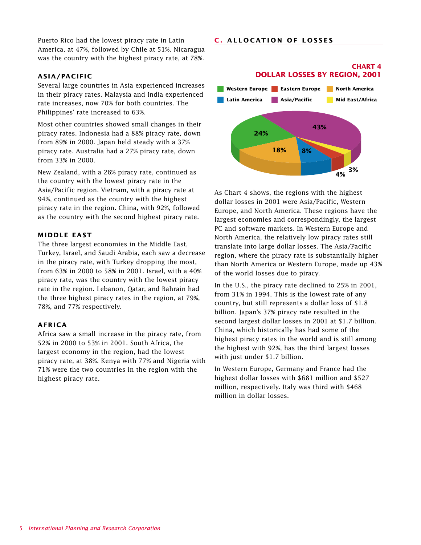#### **C . ALLOCATION OF LOSSES**

Puerto Rico had the lowest piracy rate in Latin America, at 47%, followed by Chile at 51%. Nicaragua was the country with the highest piracy rate, at 78%.

#### **ASIA/PACIFIC**

Several large countries in Asia experienced increases in their piracy rates. Malaysia and India experienced rate increases, now 70% for both countries. The Philippines' rate increased to 63%.

Most other countries showed small changes in their piracy rates. Indonesia had a 88% piracy rate, down from 89% in 2000. Japan held steady with a 37% piracy rate. Australia had a 27% piracy rate, down from 33% in 2000.

New Zealand, with a 26% piracy rate, continued as the country with the lowest piracy rate in the Asia/Pacific region. Vietnam, with a piracy rate at 94%, continued as the country with the highest piracy rate in the region. China, with 92%, followed as the country with the second highest piracy rate.

#### **MIDDLE EAST**

The three largest economies in the Middle East, Turkey, Israel, and Saudi Arabia, each saw a decrease in the piracy rate, with Turkey dropping the most, from 63% in 2000 to 58% in 2001. Israel, with a 40% piracy rate, was the country with the lowest piracy rate in the region. Lebanon, Qatar, and Bahrain had the three highest piracy rates in the region, at 79%, 78%, and 77% respectively.

#### **AFRICA**

Africa saw a small increase in the piracy rate, from 52% in 2000 to 53% in 2001. South Africa, the largest economy in the region, had the lowest piracy rate, at 38%. Kenya with 77% and Nigeria with 71% were the two countries in the region with the highest piracy rate.

### **DOLLAR LOSSES BY REGION, 2001**

**CHART 4**



As Chart 4 shows, the regions with the highest dollar losses in 2001 were Asia/Pacific, Western Europe, and North America. These regions have the largest economies and correspondingly, the largest PC and software markets. In Western Europe and North America, the relatively low piracy rates still translate into large dollar losses. The Asia/Pacific region, where the piracy rate is substantially higher than North America or Western Europe, made up 43% of the world losses due to piracy.

In the U.S., the piracy rate declined to 25% in 2001, from 31% in 1994. This is the lowest rate of any country, but still represents a dollar loss of \$1.8 billion. Japan's 37% piracy rate resulted in the second largest dollar losses in 2001 at \$1.7 billion. China, which historically has had some of the highest piracy rates in the world and is still among the highest with 92%, has the third largest losses with just under \$1.7 billion.

In Western Europe, Germany and France had the highest dollar losses with \$681 million and \$527 million, respectively. Italy was third with \$468 million in dollar losses.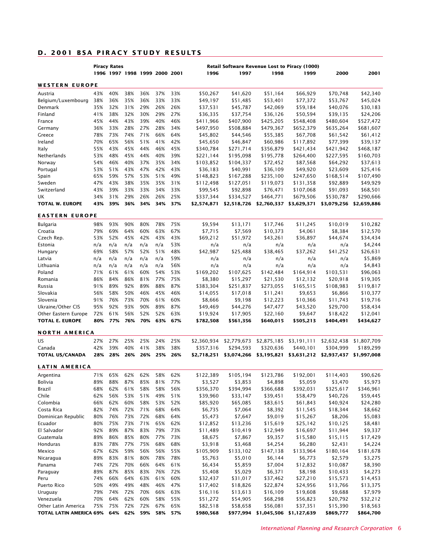#### **D . 2001 BSA P IRACY STUDY RESULTS**

|                                |            | <b>Piracy Rates</b> |            |                               |            |            | Retail Software Revenue Lost to Piracy (1000) |                          |                                   |                          |                          |                          |
|--------------------------------|------------|---------------------|------------|-------------------------------|------------|------------|-----------------------------------------------|--------------------------|-----------------------------------|--------------------------|--------------------------|--------------------------|
|                                |            |                     |            | 1996 1997 1998 1999 2000 2001 |            |            | 1996                                          | 1997                     | 1998                              | 1999                     | 2000                     | 2001                     |
| <b>WESTERN EUROPE</b>          |            |                     |            |                               |            |            |                                               |                          |                                   |                          |                          |                          |
| Austria                        | 43%        | 40%                 | 38%        | 36%                           | 37%        | 33%        | \$50,267                                      | \$41,620                 | \$51,164                          | \$66,929                 | \$70,748                 | \$42,340                 |
| Belgium/Luxembourg             | 38%        | 36%                 | 35%        | 36%                           | 33%        | 33%        | \$49,197                                      | \$51,485                 | \$53,401                          | \$77,372                 | \$53,767                 | \$45,024                 |
| Denmark                        | 35%        | 32%                 | 31%        | 29%                           | 26%        | 26%        | \$37,531                                      | \$45,787                 | \$42,069                          | \$59,184                 | \$40,076                 | \$30,183                 |
| Finland                        | 41%        | 38%                 | 32%        | 30%                           | 29%        | 27%        | \$36,335                                      | \$37,754                 | \$36,126                          | \$50,594                 | \$39,135                 | \$24,206                 |
| France                         | 45%        | 44%                 | 43%        | 39%                           | 40%        | 46%        | \$411,966                                     | \$407,900                | \$425,205                         | \$548,408                | \$480,604                | \$527,472                |
| Germany                        | 36%        | 33%                 | 28%        | 27%                           | 28%        | 34%        | \$497,950                                     | \$508,884                | \$479,367                         | \$652,379                | \$635,264                | \$681,607                |
| Greece                         | 78%        | 73%                 | 74%        | 71%                           | 66%        | 64%        | \$45,802                                      | \$44,546                 | \$55,385                          | \$67,708                 | \$61,542                 | \$61,412                 |
| Ireland                        | 70%        | 65%                 | 56%        | 51%                           | 41%        | 42%        | \$45,650                                      | \$46,847                 | \$60,986                          | \$117,892                | \$77,399                 | \$39,137                 |
| Italy                          | 55%        | 43%                 | 45%        | 44%                           | 46%        | 45%        | \$340,784                                     | \$271,714                | \$356,879                         | \$421,434                | \$421,942                | \$468,187                |
| Netherlands                    | 53%        | 48%                 | 45%        | 44%                           | 40%        | 39%        | \$221,144                                     | \$195,098                | \$195,778                         | \$264,400                | \$227,595                | \$160,703                |
| Norway                         | 54%        | 46%                 | 40%        | 37%                           | 35%        | 34%        | \$103,852                                     | \$104,337                | \$72,452                          | \$87,568                 | \$64,292                 | \$37,613                 |
| Portugal                       | 53%        | 51%                 | 43%        | 47%                           | 42%        | 43%        | \$36,183                                      | \$40,991                 | \$36,109                          | \$49,920                 | \$23,609                 | \$25,416                 |
| Spain                          | 65%        | 59%                 | 57%        | 53%                           | 51%        | 49%        | \$148,823                                     | \$167,288                | \$235,100                         | \$247,650                | \$168,514                | \$107,490                |
| Sweden                         | 47%        | 43%                 | 38%        | 35%                           | 35%        | 31%        | \$112,498                                     | \$127,051                | \$119,073                         | \$131,358                | \$92,889                 | \$49,929                 |
| Switzerland                    | 43%        | 39%                 | 33%        | 33%                           | 34%        | 33%        | \$99,545                                      | \$92,898                 | \$76,471                          | \$107,068                | \$91,093                 | \$68,501                 |
| UK                             | 34%        | 31%                 | 29%        | 26%                           | 26%        | 25%        | \$337,344                                     | \$334,527                | \$464,771                         | \$679,506                | \$530,787                | \$290,666                |
| <b>TOTAL W. EUROPE</b>         | 43%        | 39%                 | 36%        | 34%                           | 34%        | 37%        | \$2,574,871                                   | \$2,518,726              | \$2,760,337                       | \$3,629,371              | \$3,079,256              | \$2,659,886              |
| <b>EASTERN EUROPE</b>          |            |                     |            |                               |            |            |                                               |                          |                                   |                          |                          |                          |
| Bulgaria                       | 98%        | 93%                 | 90%        | 80%                           | 78%        | 75%        | \$9,594                                       | \$13,171                 | \$17,746                          | \$11,245                 | \$10,019                 | \$10,282                 |
| Croatia                        | 79%        | 69%                 | 64%        | 60%                           | 63%        | 67%        | \$7,715                                       | \$7,569                  | \$10,373                          | \$4,061                  | \$8,384                  | \$12,570                 |
| Czech Rep.                     | 53%        | 52%                 | 45%        | 42%                           | 43%        | 43%        | \$69,212                                      | \$51,972                 | \$43,261                          | \$36,897                 | \$44,674                 | \$34,434                 |
| Estonia                        | n/a        | n/a                 | n/a        | n/a                           | n/a        | 53%        | n/a                                           | n/a                      | n/a                               | n/a                      | n/a                      | \$4,244                  |
| Hungary                        | 69%        | 58%                 | 57%        | 52%                           | 51%        | 48%        | \$42,987                                      | \$25,488                 | \$38,465                          | \$37,262                 | \$41,252                 | \$26,631                 |
| Latvia                         | n/a        | n/a                 | n/a        | n/a                           | n/a        | 59%        | n/a                                           | n/a                      | n/a                               | n/a                      | n/a                      | \$5,869                  |
| Lithuania                      | n/a        | n/a                 | n/a        | n/a                           | n/a        | 56%        | n/a                                           | n/a                      | n/a                               | n/a                      | n/a                      | \$4,843                  |
| Poland                         | 71%        | 61%                 | 61%        | 60%                           | 54%        | 53%        | \$169,202                                     | \$107,625                | \$142,484                         | \$164,914                | \$103,531                | \$96,063                 |
| Romania                        | 86%        | 84%                 | 86%        | 81%                           | 77%        | 75%        | \$8,380                                       | \$15,297                 | \$21,530                          | \$12,132                 | \$20,918                 | \$19,305                 |
| Russia                         | 91%        | 89%                 | 92%        | 89%                           | 88%        | 87%        | \$383,304                                     | \$251,837                | \$273,055                         | \$165,515                | \$108,983                | \$119,817                |
| Slovakia                       | 56%        | 58%                 | 50%        | 46%                           | 45%        | 46%        | \$14,055                                      | \$17,018                 | \$11,241                          | \$9,653                  | \$6,866                  | \$10,377                 |
| Slovenia                       | 91%        | 76%                 | 73%        | 70%                           | 61%        | 60%        | \$8,666                                       | \$9,198                  | \$12,223                          | \$10,366                 | \$11,743                 | \$19,716                 |
| Ukraine/Other CIS              | 95%        | 92%                 | 93%        | 90%                           | 89%        | 87%        | \$49,469                                      | \$44,276                 | \$47,477                          | \$43,520                 | \$29,700                 | \$58,434                 |
| Other Eastern Europe           | 72%        | 61%                 | 56%        | 52%                           | 52%        | 63%        | \$19,924                                      | \$17,905                 | \$22,160                          | \$9,647                  | \$18,422                 | \$12,041                 |
| <b>TOTAL E. EUROPE</b>         | 80%        | 77%                 | 76%        | 70%                           | 63%        | 67%        | \$782,508                                     | \$561,356                | \$640,015                         | \$505,213                | \$404,491                | \$434,627                |
|                                |            |                     |            |                               |            |            |                                               |                          |                                   |                          |                          |                          |
| <b>NORTH AMERICA</b><br>US     | 27%        | 27%                 | 25%        | 25%                           | 24%        | 25%        |                                               |                          |                                   |                          |                          |                          |
| Canada                         | 42%        | 39%                 | 40%        | 41%                           | 38%        | 38%        | \$2,360,934<br>\$357,316                      | \$2,779,673<br>\$294,593 | \$2,875,185<br>\$320,636          | \$3,191,111<br>\$440,101 | \$2,632,438<br>\$304,999 | \$1,807,709<br>\$189,299 |
| <b>TOTAL US/CANADA</b>         | 28%        | 28%                 | 26%        | 26%                           | 25%        | 26%        | \$2,718,251                                   | \$3,074,266              | \$3,195,821                       | \$3,631,212              | \$2,937,437              | \$1,997,008              |
| <b>LATIN AMERICA</b>           |            |                     |            |                               |            |            |                                               |                          |                                   |                          |                          |                          |
|                                |            |                     |            |                               |            |            | \$122,389                                     |                          |                                   |                          |                          | \$90,626                 |
| Argentina                      | 71%<br>89% | 65%<br>88%          | 62%<br>87% | 62%<br>85%                    | 58%        | 62%<br>77% |                                               | \$105,194                | \$123,786                         | \$192,001                | \$114,403                | \$5,973                  |
| Bolivia                        |            |                     |            |                               | 81%<br>58% |            | \$3,527                                       | \$3,853<br>\$394,994     | \$4,898                           | \$5,059                  | \$3,470                  |                          |
| Brazil<br>Chile                | 68%<br>62% | 62%<br>56%          | 61%        | 58%<br>51%                    | 49%        | 56%        | \$356,370                                     | \$33,147                 | \$366,688                         | \$392,031                | \$325,617                | \$346,961<br>\$59,445    |
| Colombia                       | 66%        | 62%                 | 53%<br>60% | 58%                           | 53%        | 51%<br>52% | \$39,960<br>\$85,920                          | \$65,085                 | \$39,451<br>\$83,615              | \$58,479<br>\$61,843     | \$40,726<br>\$40,924     | \$24,280                 |
| Costa Rica                     | 82%        | 74%                 | 72%        | 71%                           | 68%        | 64%        | \$6,735                                       | \$7,064                  | \$8,392                           | \$11,545                 | \$18,344                 | \$8,662                  |
| Dominican Republic             | 80%        | 76%                 | 73%        | 72%                           | 68%        | 64%        | \$5,473                                       | \$7,647                  | \$9,019                           | \$15,267                 | \$8,206                  | \$5,083                  |
| Ecuador                        | 80%        | 75%                 | 73%        | 71%                           | 65%        | 62%        | \$12,852                                      | \$13,236                 | \$15,619                          | \$25,142                 | \$10,125                 | \$8,481                  |
| El Salvador                    | 92%        | 89%                 | 87%        | 83%                           | 79%        | 73%        |                                               |                          |                                   | \$16,697                 | \$11,944                 |                          |
| Guatemala                      | 89%        | 86%                 | 85%        | 80%                           | 77%        | 73%        | \$11,489<br>\$8,675                           | \$10,419<br>\$7,867      | \$12,949<br>\$9,357               | \$15,580                 | \$15,115                 | \$9,337<br>\$17,429      |
| Honduras                       |            | 78%                 | 77%        | 75%                           | 68%        | 68%        |                                               |                          |                                   |                          |                          |                          |
| Mexico                         | 83%<br>67% | 62%                 | 59%        | 56%                           | 56%        | 55%        | \$3,918<br>\$105,909                          | \$3,468<br>\$133,102     | \$4,254<br>\$147,138              | \$6,280<br>\$133,964     | \$2,431<br>\$180,164     | \$4,224                  |
| Nicaragua                      | 89%        | 83%                 | 81%        | 80%                           | 78%        | 78%        | \$5,763                                       | \$5,010                  | \$6,144                           | \$6,773                  | \$2,579                  | \$181,678<br>\$3,275     |
| Panama                         |            | 72%                 | 70%        | 66%                           | 64%        |            |                                               |                          |                                   |                          |                          |                          |
|                                | 74%<br>89% | 87%                 | 85%        | 83%                           | 76%        | 61%<br>72% | \$6,434                                       | \$5,859                  | \$7,004                           | \$12,832                 | \$10,087                 | \$8,390                  |
| Paraguay<br>Peru               | 74%        | 66%                 | 64%        | 63%                           | 61%        | 60%        | \$5,408<br>\$32,437                           | \$5,029<br>\$31,017      | \$6,371<br>\$37,462               | \$8,198<br>\$27,210      | \$10,433<br>\$15,573     | \$4,273<br>\$14,453      |
| Puerto Rico                    | 50%        | 49%                 | 49%        | 48%                           | 46%        | 47%        | \$17,402                                      | \$18,826                 | \$22,874                          | \$24,956                 | \$13,766                 | \$13,375                 |
| Uruguay                        | 79%        | 74%                 | 72%        | 70%                           | 66%        | 63%        | \$16,116                                      | \$13,613                 | \$16,109                          | \$19,608                 | \$9,688                  | \$7,979                  |
| Venezuela                      | 70%        | 64%                 | 62%        | 60%                           | 58%        | 55%        | \$51,272                                      | \$54,905                 | \$68,298                          | \$56,823                 | \$20,792                 | \$32,212                 |
| Other Latin America            | 75%        | 75%                 | 72%        | 72%                           | 67%        | 65%        | \$82,518                                      | \$58,658                 | \$56,081                          | \$37,351                 | \$15,390                 | \$18,563                 |
| <b>TOTAL LATIN AMERICA 69%</b> |            | 64%                 | 62%        | 59%                           | 58%        | 57%        | \$980,568                                     |                          | \$977,994 \$1,045,506 \$1,127,639 |                          | \$869,777                | \$864,700                |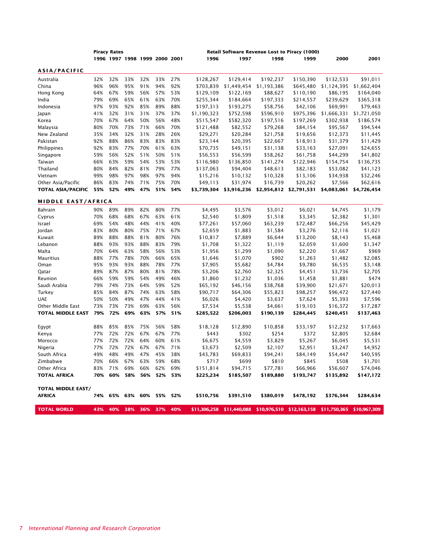|                           |            | <b>Piracy Rates</b> |                               |            |                |     | <b>Retail Software Revenue Lost to Piracy (1000)</b> |                       |                                                                  |                       |                       |                     |
|---------------------------|------------|---------------------|-------------------------------|------------|----------------|-----|------------------------------------------------------|-----------------------|------------------------------------------------------------------|-----------------------|-----------------------|---------------------|
|                           |            |                     | 1996 1997 1998 1999 2000 2001 |            |                |     | 1996                                                 | 1997                  | 1998                                                             | 1999                  | 2000                  | 2001                |
| ASIA/PACIFIC              |            |                     |                               |            |                |     |                                                      |                       |                                                                  |                       |                       |                     |
| Australia                 | 32%        | 32%                 | 33%                           | 32%        | 33%            | 27% | \$128,267                                            | \$129,414             | \$192,237                                                        | \$150,390             | \$132,533             | \$91,011            |
| China                     | 96%        | 96%                 | 95%                           | 91%        | 94%            | 92% | \$703,839                                            | \$1,449,454           | \$1,193,386                                                      | \$645,480             | \$1,124,395           | \$1,662,404         |
| Hong Kong                 | 64%        | 67%                 | 59%                           | 56%        | 57%            | 53% | \$129,109                                            | \$122,169             | \$88,627                                                         | \$110,190             | \$86,195              | \$164,040           |
| India                     | 79%        | 69%                 | 65%                           | 61%        | 63%            | 70% | \$255,344                                            | \$184,664             | \$197,333                                                        | \$214,557             | \$239,629             | \$365,318           |
| Indonesia                 | 97%        | 93%                 | 92%                           | 85%        | 89%            | 88% | \$197,313                                            | \$193,275             | \$58,756                                                         | \$42,106              | \$69,991              | \$79,463            |
| Japan                     | 41%        | 32%                 | 31%                           | 31%        | 37%            | 37% | \$1,190,323                                          | \$752,598             | \$596,910                                                        | \$975,396             | \$1,666,331           | \$1,721,050         |
| Korea                     | 70%        | 67%                 | 64%                           | 50%        | 56%            | 48% | \$515,547                                            | \$582,320             | \$197,516                                                        | \$197,269             | \$302,938             | \$186,574           |
| Malaysia                  | 80%        | 70%                 | 73%                           | 71%        | 66%            | 70% | \$121,488                                            | \$82,552              | \$79,268                                                         | \$84,154              | \$95,567              | \$94,544            |
| New Zealand               | 35%        | 34%                 | 32%                           | 31%        | 28%            | 26% | \$29,271                                             | \$20,284              | \$21,758                                                         | \$19,656              | \$12,373              | \$11,445            |
| Pakistan                  | 92%        | 88%                 | 86%                           | 83%        | 83%            | 83% | \$23,144                                             | \$20,395              | \$22,667                                                         | \$18,913              | \$31,379              | \$11,429            |
| Philippines               | 92%        | 83%                 | 77%                           | 70%        | 61%            | 63% | \$70,735                                             | \$49,151              | \$31,138                                                         | \$33,163              | \$27,091              | \$24,655            |
| Singapore                 | 59%        | 56%                 | 52%                           | 51%        | 50%            | 51% | \$56,553                                             | \$56,599              | \$58,262                                                         | \$61,758              | \$44,299              | \$41,802            |
| Taiwan                    | 66%        | 63%                 | 59%                           | 54%        | 53%            | 53% | \$116,980                                            | \$136,850             | \$141,274                                                        | \$122,946             | \$154,754             | \$136,735           |
| Thailand                  | 80%        | 84%                 | 82%                           | 81%        | 79%            | 77% | \$137,063                                            | \$94,404              | \$48,613                                                         | \$82,183              | \$53,082              | \$41,123            |
| Vietnam                   | 99%        | 98%                 | 97%                           | 98%        | 97%            | 94% | \$15,216                                             | \$10,132              | \$10,328                                                         | \$13,106              | \$34,938              | \$32,246            |
| Other Asia/Pacific        | 86%        | 83%                 | 74%                           | 71%        | 75%            | 70% | \$49,113                                             | \$31,974              | \$16,739                                                         | \$20,262              | \$7,566               | \$62,616            |
| <b>TOTAL ASIA/PACIFIC</b> | 55%        | 52%                 | 49%                           | 47%        | 51%            | 54% | \$3,739,304                                          | \$3,916,236           | \$2,954,812                                                      | \$2,791,531           | \$4,083,061           | \$4,726,454         |
|                           |            |                     |                               |            |                |     |                                                      |                       |                                                                  |                       |                       |                     |
| <b>MIDDLE EAST/AFRICA</b> |            |                     |                               |            |                |     |                                                      |                       |                                                                  |                       |                       |                     |
| Bahrain                   | 90%        | 89%                 | 89%                           | 82%        | 80%            | 77% | \$4,495                                              | \$3,576               | \$3,012                                                          | \$6,021               | \$4,745               | \$1,179             |
| Cyprus                    | 70%        | 68%                 | 68%                           | 67%        | 63%            | 61% | \$2,540                                              | \$1,809               | \$1,518                                                          | \$3,345               | \$2,382               | \$1,301             |
| Israel                    | 69%        | 54%                 | 48%                           | 44%        | 41%            | 40% | \$77,261                                             | \$57,060              | \$63,239                                                         | \$72,487              | \$66,256              | \$45,429            |
| Jordan                    | 83%        | 80%                 | 80%                           | 75%        | 71%            | 67% | \$2,659                                              | \$1,883               | \$1,584                                                          | \$3,276               | \$2,116               | \$1,021             |
| Kuwait                    | 89%        | 88%                 | 88%                           | 81%        | 80%            | 76% | \$10,817                                             | \$7,889               | \$6,644                                                          | \$13,200              | \$8,143               | \$5,468             |
| Lebanon                   | 88%        | 93%                 | 93%                           | 88%        | 83%            | 79% | \$1,708                                              | \$1,322               | \$1,119                                                          | \$2,059               | \$1,600               | \$1,347             |
| Malta                     | 70%        | 64%                 | 63%                           | 58%        | 56%            | 53% | \$1,956                                              | \$1,299               | \$1,090                                                          | \$2,220               | \$1,667               | \$969               |
| Mauritius                 | 88%        | 77%                 | 78%                           | 70%        | 66%            | 65% | \$1,646                                              | \$1,070               | \$902                                                            | \$1,263               | \$1,482               | \$2,085             |
| Oman                      | 95%        | 93%                 | 93%                           | 88%        | 78%            | 77% | \$7,905                                              | \$5,682               | \$4,784                                                          | \$9,780               | \$6,535               | \$3,148             |
| Qatar                     | 89%        | 87%                 | 87%                           | 80%        | 81%            | 78% | \$3,206                                              | \$2,760               | \$2,325                                                          | \$4,451               | \$3,736               | \$2,705             |
| Reunion                   | 66%        | 59%                 | 59%                           | 54%        | 49%            | 46% | \$1,860                                              | \$1,232               | \$1,036                                                          | \$1,458               | \$1,881               | \$474               |
| Saudi Arabia              | 79%        | 74%                 | 73%                           | 64%        | 59%            | 52% | \$65,192                                             | \$46,156              | \$38,768                                                         | \$39,900              | \$21,671              | \$20,013            |
| Turkey                    | 85%        | 84%                 | 87%                           | 74%        | 63%            | 58% | \$90,717                                             | \$64,306              | \$55,823                                                         | \$98,257              | \$96,472              | \$27,440            |
| <b>UAE</b>                | 50%        | 50%                 | 49%                           | 47%        | 44%            | 41% | \$6,026                                              | \$4,420               | \$3,637                                                          | \$7,624               | \$5,393               | \$7,596             |
| Other Middle East         | 73%        | 73%                 | 73%                           | 69%        | 63%            | 56% | \$7,534                                              | \$5,538               | \$4,661                                                          | \$19,103              | \$16,372              | \$17,287            |
| <b>TOTAL MIDDLE EAST</b>  | 79%        | 72%                 | 69%                           | 63%        | 57%            | 51% | \$285,522                                            | \$206,003             | \$190,139                                                        | \$284,445             | \$240,451             | \$137,463           |
| Egypt                     | 88%        | 85%                 | 85%                           | 75%        | 56%            | 58% | \$18,128                                             | \$12,890              | \$10,858                                                         | \$33,197              | \$12,232              | \$17,663            |
| Kenya                     | 77%        | 72%                 | 72%                           | 67%        | 67%            | 77% | \$443                                                | \$302                 | \$254                                                            | \$372                 | \$2,805               | \$2,684             |
| Morocco                   | 77%        | 72%                 | 72%                           | 64%        | 60%            | 61% | \$6,675                                              | \$4,559               | \$3,829                                                          | \$5,267               | \$6,045               | \$5,531             |
| Nigeria                   | 77%        | 72%                 | 72%                           | 67%        | 67%            | 71% | \$3,673                                              | \$2,509               | \$2,107                                                          | \$2,951               | \$3,247               | \$4,952             |
|                           | 49%        | 48%                 | 49%                           | 47%        | 45%            | 38% |                                                      |                       | \$94,241                                                         |                       | \$54,447              |                     |
| South Africa              |            |                     |                               |            |                |     | \$43,783                                             | \$69,833              |                                                                  | \$84,149              |                       | \$40,595            |
| Zimbabwe<br>Other Africa  | 70%<br>83% | 66%<br>71%          | 67%<br>69%                    | 63%        | 59%            | 68% | \$717                                                | \$699                 | \$810                                                            | \$845                 | \$508                 | \$1,701<br>\$74,046 |
| <b>TOTAL AFRICA</b>       | 70%        | 60%                 | 58%                           | 66%<br>56% | 62%<br>52% 53% | 69% | \$151,814<br>\$225,234                               | \$94,715<br>\$185,507 | \$77,781<br>\$189,880                                            | \$66,966<br>\$193,747 | \$56,607<br>\$135,892 | \$147,172           |
|                           |            |                     |                               |            |                |     |                                                      |                       |                                                                  |                       |                       |                     |
| <b>TOTAL MIDDLE EAST/</b> |            |                     |                               |            |                |     |                                                      |                       |                                                                  |                       |                       |                     |
| <b>AFRICA</b>             |            |                     | 74% 65% 63% 60% 55% 52%       |            |                |     | \$510,756                                            | \$391,510             | \$380,019                                                        | \$478,192             | \$376,344             | \$284,634           |
| <b>TOTAL WORLD</b>        | 43%        | 40%                 | 38%                           | 36%        | 37%            | 40% | \$11,306,258                                         |                       | \$11,440,088 \$10,976,510 \$12,163,158 \$11,750,365 \$10,967,309 |                       |                       |                     |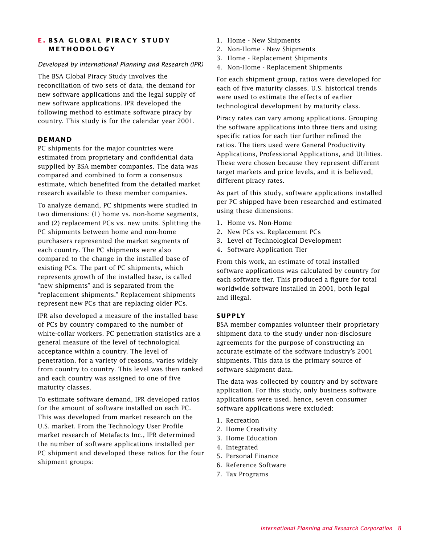#### **E . BSA GLOBAL PIRACY STUDY METHODOLOGY**

#### *Developed by International Planning and Research (IPR)*

The BSA Global Piracy Study involves the reconciliation of two sets of data, the demand for new software applications and the legal supply of new software applications. IPR developed the following method to estimate software piracy by country. This study is for the calendar year 2001.

#### **DEMAND**

PC shipments for the major countries were estimated from proprietary and confidential data supplied by BSA member companies. The data was compared and combined to form a consensus estimate, which benefited from the detailed market research available to these member companies.

To analyze demand, PC shipments were studied in two dimensions: (1) home vs. non-home segments, and (2) replacement PCs vs. new units. Splitting the PC shipments between home and non-home purchasers represented the market segments of each country. The PC shipments were also compared to the change in the installed base of existing PCs. The part of PC shipments, which represents growth of the installed base, is called "new shipments" and is separated from the "replacement shipments." Replacement shipments represent new PCs that are replacing older PCs.

IPR also developed a measure of the installed base of PCs by country compared to the number of white-collar workers. PC penetration statistics are a general measure of the level of technological acceptance within a country. The level of penetration, for a variety of reasons, varies widely from country to country. This level was then ranked and each country was assigned to one of five maturity classes.

To estimate software demand, IPR developed ratios for the amount of software installed on each PC. This was developed from market research on the U.S. market. From the Technology User Profile market research of Metafacts Inc., IPR determined the number of software applications installed per PC shipment and developed these ratios for the four shipment groups:

- 1. Home New Shipments
- 2. Non-Home New Shipments
- 3. Home Replacement Shipments
- 4. Non-Home Replacement Shipments

For each shipment group, ratios were developed for each of five maturity classes. U.S. historical trends were used to estimate the effects of earlier technological development by maturity class.

Piracy rates can vary among applications. Grouping the software applications into three tiers and using specific ratios for each tier further refined the ratios. The tiers used were General Productivity Applications, Professional Applications, and Utilities. These were chosen because they represent different target markets and price levels, and it is believed, different piracy rates.

As part of this study, software applications installed per PC shipped have been researched and estimated using these dimensions:

- 1. Home vs. Non-Home
- 2. New PCs vs. Replacement PCs
- 3. Level of Technological Development
- 4. Software Application Tier

From this work, an estimate of total installed software applications was calculated by country for each software tier. This produced a figure for total worldwide software installed in 2001, both legal and illegal.

#### **SUPPLY**

BSA member companies volunteer their proprietary shipment data to the study under non-disclosure agreements for the purpose of constructing an accurate estimate of the software industry's 2001 shipments. This data is the primary source of software shipment data.

The data was collected by country and by software application. For this study, only business software applications were used, hence, seven consumer software applications were excluded:

- 1. Recreation
- 2. Home Creativity
- 3. Home Education
- 4. Integrated
- 5. Personal Finance
- 6. Reference Software
- 7. Tax Programs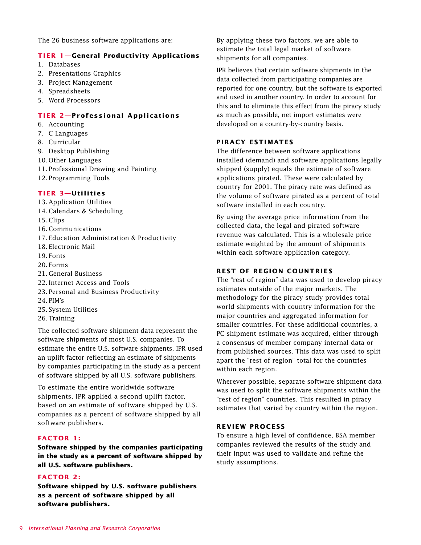The 26 business software applications are:

#### **TIER 1—General Productivity Applications**

- 1. Databases
- 2. Presentations Graphics
- 3. Project Management
- 4. Spreadsheets
- 5. Word Processors

#### **TIER 2—Professional Applications**

- 6. Accounting
- 7. C Languages
- 8. Curricular
- 9. Desktop Publishing
- 10. Other Languages
- 11. Professional Drawing and Painting
- 12. Programming Tools

#### **TIER 3—Utilities**

- 13. Application Utilities
- 14. Calendars & Scheduling
- 15. Clips
- 16. Communications
- 17. Education Administration & Productivity
- 18. Electronic Mail
- 19. Fonts
- 20. Forms
- 21. General Business
- 22. Internet Access and Tools
- 23. Personal and Business Productivity
- 24. PIM's
- 25. System Utilities
- 26. Training

The collected software shipment data represent the software shipments of most U.S. companies. To estimate the entire U.S. software shipments, IPR used an uplift factor reflecting an estimate of shipments by companies participating in the study as a percent of software shipped by all U.S. software publishers.

To estimate the entire worldwide software shipments, IPR applied a second uplift factor, based on an estimate of software shipped by U.S. companies as a percent of software shipped by all software publishers.

#### **FACTOR 1:**

**Software shipped by the companies participating in the study as a percent of software shipped by all U.S. software publishers.**

#### **FACTOR 2:**

**Software shipped by U.S. software publishers as a percent of software shipped by all software publishers.**

By applying these two factors, we are able to estimate the total legal market of software shipments for all companies.

IPR believes that certain software shipments in the data collected from participating companies are reported for one country, but the software is exported and used in another country. In order to account for this and to eliminate this effect from the piracy study as much as possible, net import estimates were developed on a country-by-country basis.

#### **PIRACY ESTIMATES**

The difference between software applications installed (demand) and software applications legally shipped (supply) equals the estimate of software applications pirated. These were calculated by country for 2001. The piracy rate was defined as the volume of software pirated as a percent of total software installed in each country.

By using the average price information from the collected data, the legal and pirated software revenue was calculated. This is a wholesale price estimate weighted by the amount of shipments within each software application category.

#### **REST OF REGION COUNTRIES**

The "rest of region" data was used to develop piracy estimates outside of the major markets. The methodology for the piracy study provides total world shipments with country information for the major countries and aggregated information for smaller countries. For these additional countries, a PC shipment estimate was acquired, either through a consensus of member company internal data or from published sources. This data was used to split apart the "rest of region" total for the countries within each region.

Wherever possible, separate software shipment data was used to split the software shipments within the "rest of region" countries. This resulted in piracy estimates that varied by country within the region.

#### **REVIEW PROCESS**

To ensure a high level of confidence, BSA member companies reviewed the results of the study and their input was used to validate and refine the study assumptions.